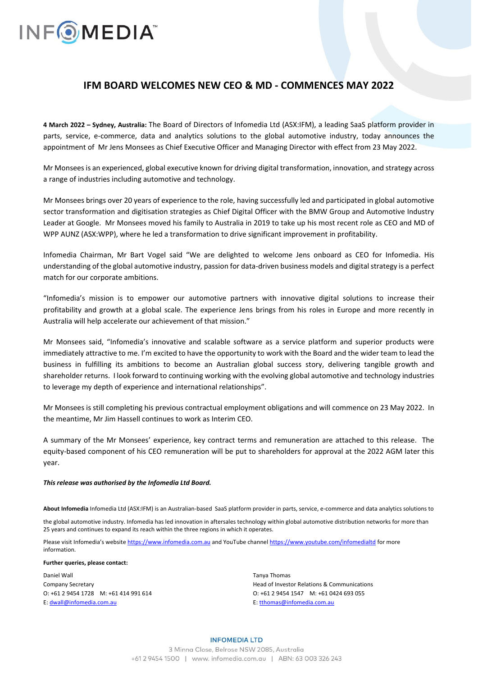## **INFOMEDIA**

## **IFM BOARD WELCOMES NEW CEO & MD - COMMENCES MAY 2022**

**4 March 2022 – Sydney, Australia:** The Board of Directors of Infomedia Ltd (ASX:IFM), a leading SaaS platform provider in parts, service, e-commerce, data and analytics solutions to the global automotive industry, today announces the appointment of Mr Jens Monsees as Chief Executive Officer and Managing Director with effect from 23 May 2022.

Mr Monsees is an experienced, global executive known for driving digital transformation, innovation, and strategy across a range of industries including automotive and technology.

Mr Monsees brings over 20 years of experience to the role, having successfully led and participated in global automotive sector transformation and digitisation strategies as Chief Digital Officer with the BMW Group and Automotive Industry Leader at Google. Mr Monsees moved his family to Australia in 2019 to take up his most recent role as CEO and MD of WPP AUNZ (ASX:WPP), where he led a transformation to drive significant improvement in profitability.

Infomedia Chairman, Mr Bart Vogel said "We are delighted to welcome Jens onboard as CEO for Infomedia. His understanding of the global automotive industry, passion for data-driven business models and digital strategy is a perfect match for our corporate ambitions.

"Infomedia's mission is to empower our automotive partners with innovative digital solutions to increase their profitability and growth at a global scale. The experience Jens brings from his roles in Europe and more recently in Australia will help accelerate our achievement of that mission."

Mr Monsees said, "Infomedia's innovative and scalable software as a service platform and superior products were immediately attractive to me. I'm excited to have the opportunity to work with the Board and the wider team to lead the business in fulfilling its ambitions to become an Australian global success story, delivering tangible growth and shareholder returns. I look forward to continuing working with the evolving global automotive and technology industries to leverage my depth of experience and international relationships".

Mr Monsees is still completing his previous contractual employment obligations and will commence on 23 May 2022. In the meantime, Mr Jim Hassell continues to work as Interim CEO.

A summary of the Mr Monsees' experience, key contract terms and remuneration are attached to this release. The equity-based component of his CEO remuneration will be put to shareholders for approval at the 2022 AGM later this year.

#### *This release was authorised by the Infomedia Ltd Board.*

**About Infomedia** Infomedia Ltd (ASX:IFM) is an Australian-based SaaS platform provider in parts, service, e-commerce and data analytics solutions to

the global automotive industry. Infomedia has led innovation in aftersales technology within global automotive distribution networks for more than 25 years and continues to expand its reach within the three regions in which it operates.

Please visit Infomedia's website [https://www.infomedia.com.au](https://www.infomedia.com.au/) and YouTube channel <https://www.youtube.com/infomedialtd> for more information.

#### **Further queries, please contact:**

Daniel Wall Company Secretary O: +61 2 9454 1728 M: +61 414 991 614 E[: dwall@infomedia.com.au](mailto:dwall@infomedia.com.au)

Tanya Thomas Head of Investor Relations & Communications O: +61 2 9454 1547 M: +61 0424 693 055 E[: tthomas@infomedia.com.au](mailto:tthomas@infomedia.com.au)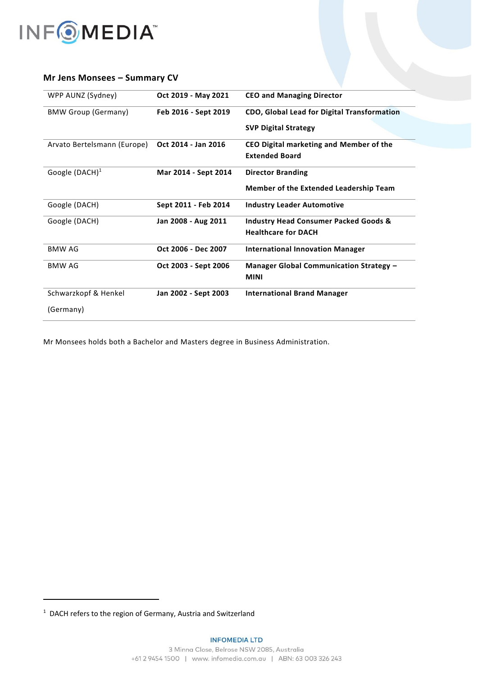

### **Mr Jens Monsees – Summary CV**

| Oct 2019 - May 2021  | <b>CEO and Managing Director</b>                 |
|----------------------|--------------------------------------------------|
| Feb 2016 - Sept 2019 | CDO, Global Lead for Digital Transformation      |
|                      | <b>SVP Digital Strategy</b>                      |
| Oct 2014 - Jan 2016  | CEO Digital marketing and Member of the          |
|                      | <b>Extended Board</b>                            |
| Mar 2014 - Sept 2014 | <b>Director Branding</b>                         |
|                      | <b>Member of the Extended Leadership Team</b>    |
| Sept 2011 - Feb 2014 | <b>Industry Leader Automotive</b>                |
| Jan 2008 - Aug 2011  | <b>Industry Head Consumer Packed Goods &amp;</b> |
|                      | <b>Healthcare for DACH</b>                       |
| Oct 2006 - Dec 2007  | <b>International Innovation Manager</b>          |
| Oct 2003 - Sept 2006 | Manager Global Communication Strategy -          |
|                      | <b>MINI</b>                                      |
| Jan 2002 - Sept 2003 | <b>International Brand Manager</b>               |
|                      |                                                  |
|                      |                                                  |

Mr Monsees holds both a Bachelor and Masters degree in Business Administration.

<sup>&</sup>lt;sup>1</sup> DACH refers to the region of Germany, Austria and Switzerland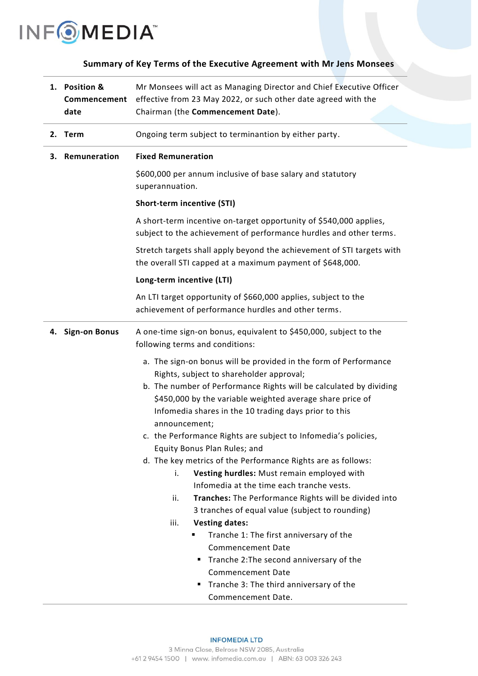

## **Summary of Key Terms of the Executive Agreement with Mr Jens Monsees**

| 1. Position &<br>Commencement | Mr Monsees will act as Managing Director and Chief Executive Officer<br>effective from 23 May 2022, or such other date agreed with the                                                                                                                                                                                                                                                                                                                                                                                                                                                                                                                                                                                                                                                                                                                                                                                                                                |  |
|-------------------------------|-----------------------------------------------------------------------------------------------------------------------------------------------------------------------------------------------------------------------------------------------------------------------------------------------------------------------------------------------------------------------------------------------------------------------------------------------------------------------------------------------------------------------------------------------------------------------------------------------------------------------------------------------------------------------------------------------------------------------------------------------------------------------------------------------------------------------------------------------------------------------------------------------------------------------------------------------------------------------|--|
| date                          | Chairman (the Commencement Date).                                                                                                                                                                                                                                                                                                                                                                                                                                                                                                                                                                                                                                                                                                                                                                                                                                                                                                                                     |  |
| 2. Term                       | Ongoing term subject to terminantion by either party.                                                                                                                                                                                                                                                                                                                                                                                                                                                                                                                                                                                                                                                                                                                                                                                                                                                                                                                 |  |
| Remuneration<br>з.            | <b>Fixed Remuneration</b>                                                                                                                                                                                                                                                                                                                                                                                                                                                                                                                                                                                                                                                                                                                                                                                                                                                                                                                                             |  |
|                               | \$600,000 per annum inclusive of base salary and statutory<br>superannuation.                                                                                                                                                                                                                                                                                                                                                                                                                                                                                                                                                                                                                                                                                                                                                                                                                                                                                         |  |
|                               | Short-term incentive (STI)                                                                                                                                                                                                                                                                                                                                                                                                                                                                                                                                                                                                                                                                                                                                                                                                                                                                                                                                            |  |
|                               | A short-term incentive on-target opportunity of \$540,000 applies,<br>subject to the achievement of performance hurdles and other terms.                                                                                                                                                                                                                                                                                                                                                                                                                                                                                                                                                                                                                                                                                                                                                                                                                              |  |
|                               | Stretch targets shall apply beyond the achievement of STI targets with<br>the overall STI capped at a maximum payment of \$648,000.                                                                                                                                                                                                                                                                                                                                                                                                                                                                                                                                                                                                                                                                                                                                                                                                                                   |  |
|                               | Long-term incentive (LTI)                                                                                                                                                                                                                                                                                                                                                                                                                                                                                                                                                                                                                                                                                                                                                                                                                                                                                                                                             |  |
|                               | An LTI target opportunity of \$660,000 applies, subject to the<br>achievement of performance hurdles and other terms.                                                                                                                                                                                                                                                                                                                                                                                                                                                                                                                                                                                                                                                                                                                                                                                                                                                 |  |
| 4. Sign-on Bonus              | A one-time sign-on bonus, equivalent to \$450,000, subject to the<br>following terms and conditions:                                                                                                                                                                                                                                                                                                                                                                                                                                                                                                                                                                                                                                                                                                                                                                                                                                                                  |  |
|                               | a. The sign-on bonus will be provided in the form of Performance<br>Rights, subject to shareholder approval;<br>b. The number of Performance Rights will be calculated by dividing<br>\$450,000 by the variable weighted average share price of<br>Infomedia shares in the 10 trading days prior to this<br>announcement;<br>c. the Performance Rights are subject to Infomedia's policies,<br>Equity Bonus Plan Rules; and<br>d. The key metrics of the Performance Rights are as follows:<br>Vesting hurdles: Must remain employed with<br>i.<br>Infomedia at the time each tranche vests.<br>Tranches: The Performance Rights will be divided into<br>ii.<br>3 tranches of equal value (subject to rounding)<br><b>Vesting dates:</b><br>iii.<br>Tranche 1: The first anniversary of the<br><b>Commencement Date</b><br>Tranche 2: The second anniversary of the<br>٠<br><b>Commencement Date</b><br>Tranche 3: The third anniversary of the<br>Commencement Date. |  |